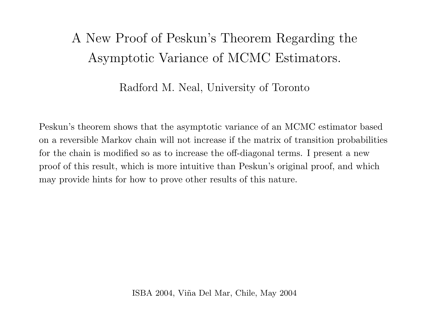# A New Proof of Peskun's Theorem Regarding the Asymptotic Variance of MCMC Estimators.

#### Radford M. Neal, University of Toronto

Peskun's theorem shows that the asymptotic variance of an MCMC estimator based on <sup>a</sup> reversible Markov chain will not increase if the matrix of transition probabilities for the chain is modified so as to increase the off-diagonal terms. I present <sup>a</sup> new proof of this result, which is more intuitive than Peskun's original proof, and which may provide hints for how to prove other results of this nature.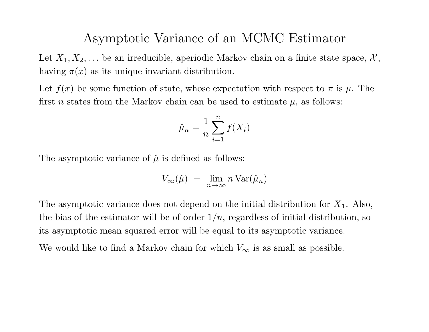#### Asymptotic Variance of an MCMC Estimator

Let  $X_1, X_2, \ldots$  be an irreducible, aperiodic Markov chain on a finite state space,  $\mathcal{X},$ having  $\pi(x)$  as its unique invariant distribution.

Let  $f(x)$  be some function of state, whose expectation with respect to  $\pi$  is  $\mu$ . The first *n* states from the Markov chain can be used to estimate  $\mu$ , as follows:

$$
\hat{\mu}_n = \frac{1}{n} \sum_{i=1}^n f(X_i)
$$

The asymptotic variance of  $\hat{\mu}$  is defined as follows:

$$
V_{\infty}(\hat{\mu}) = \lim_{n \to \infty} n \operatorname{Var}(\hat{\mu}_n)
$$

The asymptotic variance does not depend on the initial distribution for  $X_1$ . Also, the bias of the estimator will be of order  $1/n$ , regardless of initial distribution, so its asymptotic mean squared error will be equal to its asymptotic variance. We would like to find a Markov chain for which  $V_{\infty}$  is as small as possible.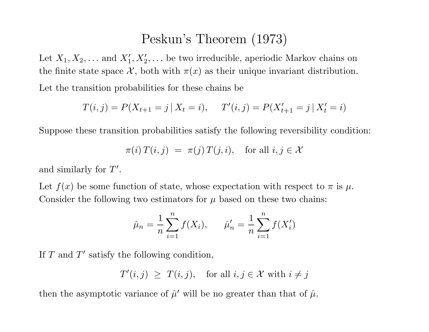#### Peskun's Theorem (1973)

Let  $X_1, X_2, \ldots$  and  $X'_1, X'_2, \ldots$  be two irreducible, aperiodic Markov chains on the finite state space  $\mathcal{X}$ , both with  $\pi(x)$  as their unique invariant distribution. Let the transition probabilities for these chains be

$$
T(i,j) = P(X_{t+1} = j | X_t = i), \quad T'(i,j) = P(X'_{t+1} = j | X'_t = i)
$$

Suppose these transition probabilities satisfy the following reversibility condition:

$$
\pi(i) T(i,j) = \pi(j) T(j,i), \text{ for all } i, j \in \mathcal{X}
$$

and similarly for  $T'$ .

Let  $f(x)$  be some function of state, whose expectation with respect to  $\pi$  is  $\mu$ . Consider the following two estimators for  $\mu$  based on these two chains:

$$
\hat{\mu}_n = \frac{1}{n} \sum_{i=1}^n f(X_i), \qquad \hat{\mu}'_n = \frac{1}{n} \sum_{i=1}^n f(X'_i)
$$

If  $T$  and  $T'$  satisfy the following condition,

$$
T'(i,j) \ge T(i,j), \quad \text{for all } i, j \in \mathcal{X} \text{ with } i \ne j
$$

then the asymptotic variance of  $\hat{\mu}'$  will be no greater than that of  $\hat{\mu}$ .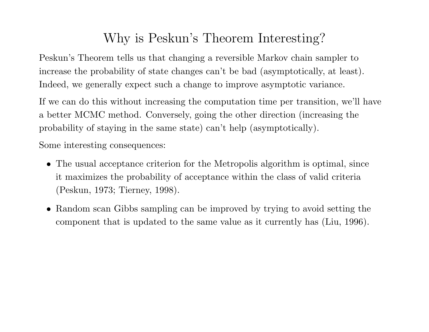# Why is Peskun's Theorem Interesting?

Peskun's Theorem tells us that changing <sup>a</sup> reversible Markov chain sampler to increase the probability of state changes can't be bad (asymptotically, at least). Indeed, we generally expect such <sup>a</sup> change to improve asymptotic variance.

If we can do this without increasing the computation time per transition, we'll have <sup>a</sup> better MCMC method. Conversely, going the other direction (increasing the probability of staying in the same state) can't help (asymptotically).

Some interesting consequences:

- The usual acceptance criterion for the Metropolis algorithm is optimal, since it maximizes the probability of acceptance within the class of valid criteria (Peskun, 1973; Tierney, 1998).
- Random scan Gibbs sampling can be improved by trying to avoid setting the component that is updated to the same value as it currently has (Liu, 1996).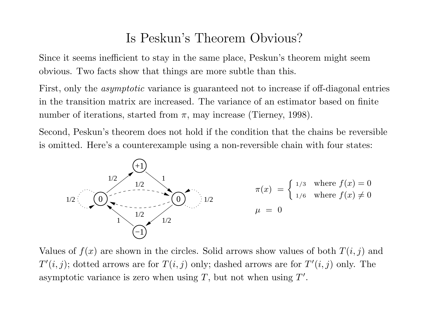### Is Peskun's Theorem Obvious?

Since it seems inefficient to stay in the same <sup>p</sup>lace, Peskun's theorem might seem obvious. Two facts show that things are more subtle than this.

First, only the *asymptotic* variance is guaranteed not to increase if off-diagonal entries in the transition matrix are increased. The variance of an estimator based on finite number of iterations, started from  $\pi$ , may increase (Tierney, 1998).

Second, Peskun's theorem does not hold if the condition that the chains be reversible is omitted. Here's <sup>a</sup> counterexample using <sup>a</sup> non-reversible chain with four states:



Values of  $f(x)$  are shown in the circles. Solid arrows show values of both  $T(i, j)$  and  $T'(i, j)$ ; dotted arrows are for  $T(i, j)$  only; dashed arrows are for  $T'(i, j)$  only. The asymptotic variance is zero when using  $T$ , but not when using  $T'$ .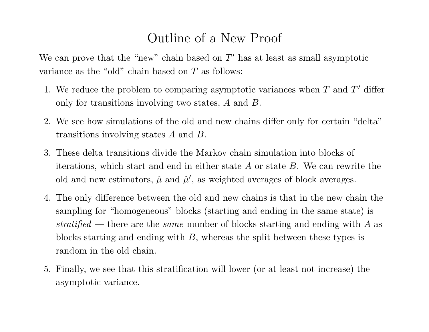# Outline of <sup>a</sup> New Proof

We can prove that the "new" chain based on  $T'$  has at least as small asymptotic variance as the "old" chain based on T as follows:

- 1. We reduce the problem to comparing asymptotic variances when  $T$  and  $T'$  differ only for transitions involving two states, A and B.
- 2. We see how simulations of the old and new chains differ only for certain "delta" transitions involving states A and B.
- 3. These delta transitions divide the Markov chain simulation into blocks of iterations, which start and end in either state  $A$  or state  $B$ . We can rewrite the old and new estimators,  $\hat{\mu}$  and  $\hat{\mu}'$ , as weighted averages of block averages.
- 4. The only difference between the old and new chains is that in the new chain the sampling for "homogeneous" blocks (starting and ending in the same state) is stratified — there are the same number of blocks starting and ending with  $A$  as blocks starting and ending with B, whereas the split between these types is random in the old chain.
- 5. Finally, we see that this stratification will lower (or at least not increase) the asymptotic variance.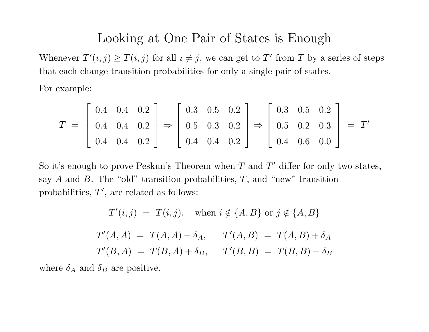#### Looking at One Pair of States is Enough

Whenever  $T'(i, j) \geq T(i, j)$  for all  $i \neq j$ , we can get to T' from T by a series of steps that each change transition probabilities for only <sup>a</sup> single pair of states.

For example:

$$
T = \begin{bmatrix} 0.4 & 0.4 & 0.2 \\ 0.4 & 0.4 & 0.2 \\ 0.4 & 0.4 & 0.2 \end{bmatrix} \Rightarrow \begin{bmatrix} 0.3 & 0.5 & 0.2 \\ 0.5 & 0.3 & 0.2 \\ 0.4 & 0.4 & 0.2 \end{bmatrix} \Rightarrow \begin{bmatrix} 0.3 & 0.5 & 0.2 \\ 0.5 & 0.2 & 0.3 \\ 0.4 & 0.6 & 0.0 \end{bmatrix} = T'
$$

So it's enough to prove Peskun's Theorem when  $T$  and  $T'$  differ for only two states, say A and B. The "old" transition probabilities,  $T$ , and "new" transition probabilities,  $T'$ , are related as follows:

$$
T'(i,j) = T(i,j), \text{ when } i \notin \{A, B\} \text{ or } j \notin \{A, B\}
$$

$$
T'(A, A) = T(A, A) - \delta_A, \quad T'(A, B) = T(A, B) + \delta_A
$$

$$
T'(B, A) = T(B, A) + \delta_B, \quad T'(B, B) = T(B, B) - \delta_B
$$

where  $\delta_A$  and  $\delta_B$  are positive.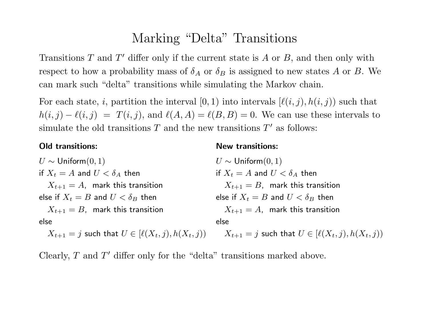### Marking "Delta" Transitions

Transitions T and T' differ only if the current state is A or B, and then only with respect to how a probability mass of  $\delta_A$  or  $\delta_B$  is assigned to new states A or B. We can mark such "delta" transitions while simulating the Markov chain.

For each state, *i*, partition the interval [0, 1) into intervals  $[\ell(i, j), h(i, j)]$  such that  $h(i, j) - \ell(i, j) = T(i, j)$ , and  $\ell(A, A) = \ell(B, B) = 0$ . We can use these intervals to simulate the old transitions  $T$  and the new transitions  $T'$  as follows:

#### Old transitions:

#### New transitions:

| $U \sim$ Uniform $(0,1)$                                  | $U \sim$ Uniform $(0, 1)$                                 |
|-----------------------------------------------------------|-----------------------------------------------------------|
| if $X_t = A$ and $U < \delta_A$ then                      | if $X_t = A$ and $U < \delta_A$ then                      |
| $X_{t+1} = A$ , mark this transition                      | $X_{t+1} = B$ , mark this transition                      |
| else if $X_t = B$ and $U < \delta_B$ then                 | else if $X_t = B$ and $U < \delta_B$ then                 |
| $X_{t+1} = B$ , mark this transition                      | $X_{t+1} = A$ , mark this transition                      |
| else                                                      | else                                                      |
| $X_{t+1} = j$ such that $U \in [\ell(X_t, j), h(X_t, j))$ | $X_{t+1} = j$ such that $U \in [\ell(X_t, j), h(X_t, j))$ |

Clearly,  $T$  and  $T'$  differ only for the "delta" transitions marked above.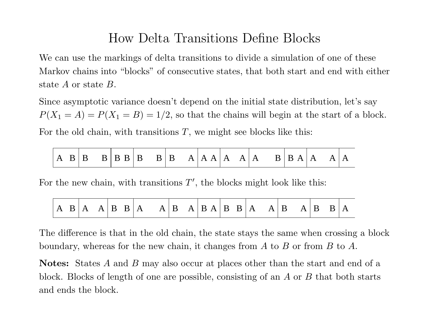## How Delta Transitions Define Blocks

We can use the markings of delta transitions to divide <sup>a</sup> simulation of one of these Markov chains into "blocks" of consecutive states, that both start and end with either state A or state B.

Since asymptotic variance doesn't depend on the initial state distribution, let's say  $P(X_1 = A) = P(X_1 = B) = 1/2$ , so that the chains will begin at the start of a block. For the old chain, with transitions  $T$ , we might see blocks like this:

|  |  |  |  |  |  |  |  | $ A \tB B \tB B B B \tB B \tA A A A A A B B A A$ |  |  |  |  |  |  | A <sub>1</sub> |  |
|--|--|--|--|--|--|--|--|--------------------------------------------------|--|--|--|--|--|--|----------------|--|
|--|--|--|--|--|--|--|--|--------------------------------------------------|--|--|--|--|--|--|----------------|--|

For the new chain, with transitions  $T'$ , the blocks might look like this:

The difference is that in the old chain, the state stays the same when crossing <sup>a</sup> block boundary, whereas for the new chain, it changes from A to B or from B to A.

Notes: States A and B may also occur at places other than the start and end of a block. Blocks of length of one are possible, consisting of an A or B that both starts and ends the block.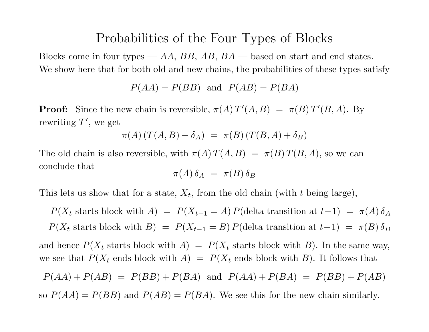#### Probabilities of the Four Types of Blocks

Blocks come in four types —  $AA$ ,  $BB$ ,  $AB$ ,  $BA$  — based on start and end states. We show here that for both old and new chains, the probabilities of these types satisfy

 $P(AA) = P(BB)$  and  $P(AB) = P(BA)$ 

**Proof:** Since the new chain is reversible,  $\pi(A) T'(A, B) = \pi(B) T'(B, A)$ . By rewriting  $T'$ , we get

$$
\pi(A) (T(A, B) + \delta_A) = \pi(B) (T(B, A) + \delta_B)
$$

The old chain is also reversible, with  $\pi(A) T(A, B) = \pi(B) T(B, A)$ , so we can conclude that

$$
\pi(A)\,\delta_A\ =\ \pi(B)\,\delta_B
$$

This lets us show that for a state,  $X_t$ , from the old chain (with t being large),

 $P(X_t$  starts block with A) =  $P(X_{t-1} = A) P$ (delta transition at  $t-1$ ) =  $\pi(A) \delta_A$  $P(X_t \text{ starts block with } B) = P(X_{t-1} = B) P(\text{delta transition at } t-1) = \pi(B) \delta_B$ and hence  $P(X_t \text{ starts block with } A) = P(X_t \text{ starts block with } B)$ . In the same way, we see that  $P(X_t \text{ ends block with } A) = P(X_t \text{ ends block with } B)$ . It follows that  $P(AA) + P(AB) = P(BB) + P(BA)$  and  $P(AA) + P(BA) = P(BB) + P(AB)$ so  $P(AA) = P(BB)$  and  $P(AB) = P(BA)$ . We see this for the new chain similarly.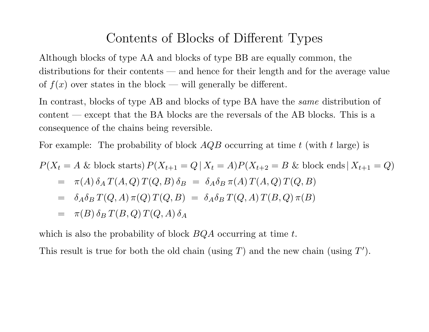## Contents of Blocks of Different Types

Although blocks of type AA and blocks of type BB are equally common, the distributions for their contents — and hence for their length and for the average value of  $f(x)$  over states in the block — will generally be different.

In contrast, blocks of type AB and blocks of type BA have the *same* distribution of content — except that the BA blocks are the reversals of the AB blocks. This is <sup>a</sup> consequence of the chains being reversible.

For example: The probability of block  $AQB$  occurring at time t (with t large) is

$$
P(X_t = A \& \text{block starts}) P(X_{t+1} = Q | X_t = A) P(X_{t+2} = B \& \text{block ends} | X_{t+1} = Q)
$$
  
=  $\pi(A) \delta_A T(A, Q) T(Q, B) \delta_B = \delta_A \delta_B \pi(A) T(A, Q) T(Q, B)$   
=  $\delta_A \delta_B T(Q, A) \pi(Q) T(Q, B) = \delta_A \delta_B T(Q, A) T(B, Q) \pi(B)$   
=  $\pi(B) \delta_B T(B, Q) T(Q, A) \delta_A$ 

which is also the probability of block  $BQA$  occurring at time t.

This result is true for both the old chain (using  $T$ ) and the new chain (using  $T'$ ).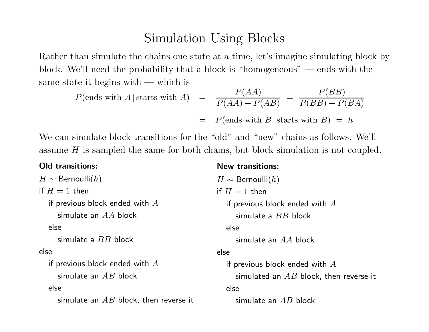## Simulation Using Blocks

Rather than simulate the chains one state at <sup>a</sup> time, let's imagine simulating block by block. We'll need the probability that <sup>a</sup> block is "homogeneous" — ends with the same state it begins with — which is

$$
P(\text{ends with } A \mid \text{starts with } A) = \frac{P(AA)}{P(AA) + P(AB)} = \frac{P(BB)}{P(BB) + P(BA)}
$$

$$
= P(\text{ends with } B \mid \text{starts with } B) = h
$$

New transitions:

We can simulate block transitions for the "old" and "new" chains as follows. We'll assume H is sampled the same for both chains, but block simulation is not coupled.

#### Old transitions:

```
H \sim Bernoulli(h)if H = 1 then
  if previous block ended with Asimulate an AA block
  else
     simulate a BB block
else
  if previous block ended with Asimulate an AB block
  else
     simulate an AB block, then reverse it
                                                H \sim Bernoulli(h)if H = 1 then
                                                   if previous block ended with Asimulate a BB block
                                                   else
                                                     simulate an AA block
                                                else
                                                   if previous block ended with Asimulated an AB block, then reverse it
                                                  else
                                                     simulate an AB block
```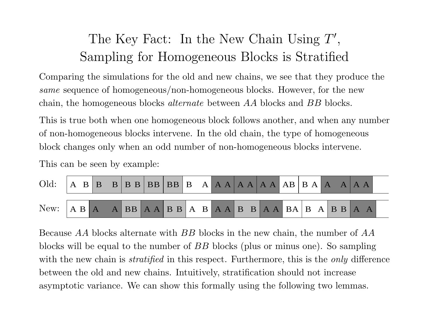# The Key Fact: In the New Chain Using  $T'$ , Sampling for Homogeneous Blocks is Stratified

Comparing the simulations for the old and new chains, we see that they produce the same sequence of homogeneous/non-homogeneous blocks. However, for the new chain, the homogeneous blocks alternate between AA blocks and BB blocks.

This is true both when one homogeneous block follows another, and when any number of non-homogeneous blocks intervene. In the old chain, the type of homogeneous block changes only when an odd number of non-homogeneous blocks intervene.

This can be seen by example:

| Old: |  |  |  |  |  |  |  |  |
|------|--|--|--|--|--|--|--|--|
|      |  |  |  |  |  |  |  |  |

Because AA blocks alternate with BB blocks in the new chain, the number of AA blocks will be equa<sup>l</sup> to the number of BB blocks (plus or minus one). So sampling with the new chain is *stratified* in this respect. Furthermore, this is the *only* difference between the old and new chains. Intuitively, stratification should not increase asymptotic variance. We can show this formally using the following two lemmas.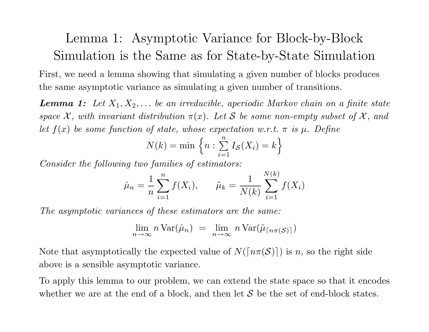# Lemma 1: Asymptotic Variance for Block-by-Block Simulation is the Same as for State-by-State Simulation

First, we need <sup>a</sup> lemma showing that simulating <sup>a</sup> given number of blocks produces the same asymptotic variance as simulating <sup>a</sup> given number of transitions.

**Lemma 1:** Let  $X_1, X_2, \ldots$  be an irreducible, aperiodic Markov chain on a finite state space  $\mathcal{X}$ , with invariant distribution  $\pi(x)$ . Let S be some non-empty subset of  $\mathcal{X}$ , and let  $f(x)$  be some function of state, whose expectation w.r.t.  $\pi$  is  $\mu$ . Define

$$
N(k) = \min \left\{ n : \sum_{i=1}^{n} I_{\mathcal{S}}(X_i) = k \right\}
$$

Consider the following two families of estimators:

$$
\hat{\mu}_n = \frac{1}{n} \sum_{i=1}^n f(X_i), \qquad \tilde{\mu}_k = \frac{1}{N(k)} \sum_{i=1}^{N(k)} f(X_i)
$$

The asymptotic variances of these estimators are the same:

$$
\lim_{n \to \infty} n \operatorname{Var}(\hat{\mu}_n) = \lim_{n \to \infty} n \operatorname{Var}(\tilde{\mu}_{\lceil n\pi(\mathcal{S}) \rceil})
$$

Note that asymptotically the expected value of  $N(\lceil n\pi(\mathcal{S})\rceil)$  is n, so the right side above is <sup>a</sup> sensible asymptotic variance.

To apply this lemma to our problem, we can extend the state space so that it encodes whether we are at the end of a block, and then let  $S$  be the set of end-block states.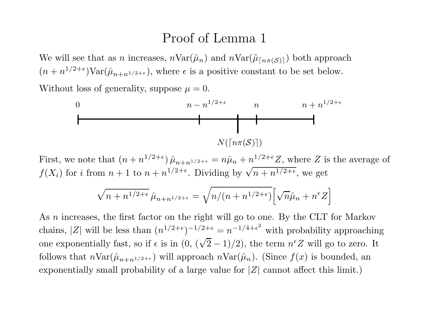#### Proof of Lemma 1

We will see that as *n* increases,  $n\text{Var}(\hat{\mu}_n)$  and  $n\text{Var}(\tilde{\mu}_{\lfloor n\pi(S)\rfloor})$  both approach  $(n + n^{1/2+\epsilon})\text{Var}(\hat{\mu}_{n+n^{1/2+\epsilon}})$ , where  $\epsilon$  is a positive constant to be set below.

Without loss of generality, suppose  $\mu = 0$ .



First, we note that  $(n + n^{1/2+\epsilon}) \hat{\mu}_{n+n^{1/2+\epsilon}} = n\hat{\mu}_n + n^{1/2+\epsilon}Z$ , where Z is the average of  $f(X_i)$  for i from  $n+1$  to  $n+n^{1/2+\epsilon}$ . Dividing by  $\sqrt{n+n^{1/2+\epsilon}}$ , we get

$$
\sqrt{n+n^{1/2+\epsilon}}\,\hat{\mu}_{n+n^{1/2+\epsilon}} = \sqrt{n/(n+n^{1/2+\epsilon})}\Big[\sqrt{n}\hat{\mu}_n + n^{\epsilon}Z\Big]
$$

As *n* increases, the first factor on the right will go to one. By the CLT for Markov chains, |Z| will be less than  $(n^{1/2+\epsilon})^{-1/2+\epsilon} = n^{-1/4+\epsilon^2}$  with probability approaching one exponentially fast, so if  $\epsilon$  is in  $(0, (\sqrt{2}-1)/2)$ , the term  $n^{\epsilon}Z$  will go to zero. It follows that  $n\text{Var}(\hat{\mu}_{n+n^{1/2+\epsilon}})$  will approach  $n\text{Var}(\hat{\mu}_n)$ . (Since  $f(x)$  is bounded, an exponentially small probability of a large value for  $|Z|$  cannot affect this limit.)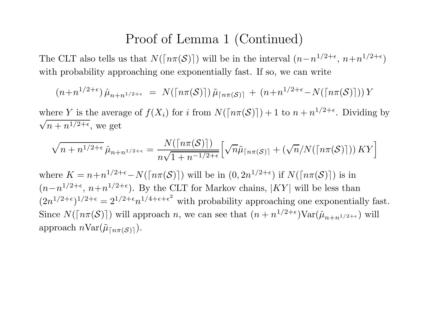#### Proof of Lemma <sup>1</sup> (Continued)

The CLT also tells us that  $N(\lceil n\pi(\mathcal{S})\rceil)$  will be in the interval  $(n-n^{1/2+\epsilon}, n+n^{1/2+\epsilon})$ with probability approaching one exponentially fast. If so, we can write

$$
(n+n^{1/2+\epsilon})\hat{\mu}_{n+n^{1/2+\epsilon}} = N(\lceil n\pi(\mathcal{S})\rceil)\tilde{\mu}_{\lceil n\pi(\mathcal{S})\rceil} + (n+n^{1/2+\epsilon}-N(\lceil n\pi(\mathcal{S})\rceil))Y
$$

where Y is the average of  $f(X_i)$  for i from  $N(\lceil n\pi(\mathcal{S})\rceil) + 1$  to  $n + n^{1/2+\epsilon}$ . Dividing by  $\sqrt{n+n^{1/2+\epsilon}}$ , we get

$$
\sqrt{n+n^{1/2+\epsilon}}\,\hat{\mu}_{n+n^{1/2+\epsilon}} = \frac{N(\lceil n\pi(\mathcal{S})\rceil)}{n\sqrt{1+n^{-1/2+\epsilon}}}\Big[\sqrt{n}\tilde{\mu}_{\lceil n\pi(\mathcal{S})\rceil} + (\sqrt{n}/N(\lceil n\pi(\mathcal{S})\rceil))\,KY\Big]
$$

where  $K = n+n^{1/2+\epsilon}-N(\lceil n\pi(\mathcal{S})\rceil)$  will be in  $(0, 2n^{1/2+\epsilon})$  if  $N(\lceil n\pi(\mathcal{S})\rceil)$  is in  $(n-n^{1/2+\epsilon}, n+n^{1/2+\epsilon})$ . By the CLT for Markov chains, |KY| will be less than  $(2n^{1/2+\epsilon})^{1/2+\epsilon} = 2^{1/2+\epsilon}n^{1/4+\epsilon+\epsilon^2}$  with probability approaching one exponentially fast. Since  $N(\lceil n\pi(\mathcal{S})\rceil)$  will approach n, we can see that  $(n + n^{1/2+\epsilon})\text{Var}(\hat{\mu}_{n+n^{1/2+\epsilon}})$  will approach  $n\text{Var}(\tilde{\mu}_{\lceil n\pi(S)\rceil}).$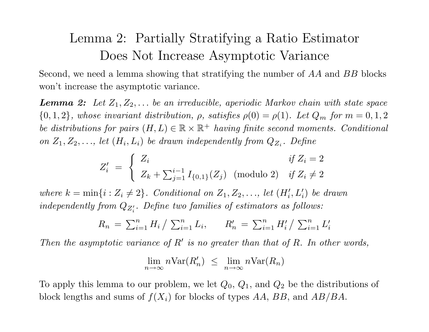# Lemma 2: Partially Stratifying <sup>a</sup> Ratio Estimator Does Not Increase Asymptotic Variance

Second, we need <sup>a</sup> lemma showing that stratifying the number of AA and BB blocks won't increase the asymptotic variance.

**Lemma 2:** Let  $Z_1, Z_2, \ldots$  be an irreducible, aperiodic Markov chain with state space  ${0, 1, 2}$ , whose invariant distribution,  $\rho$ , satisfies  $\rho(0) = \rho(1)$ . Let  $Q_m$  for  $m = 0, 1, 2$ be distributions for pairs  $(H, L) \in \mathbb{R} \times \mathbb{R}^+$  having finite second moments. Conditional on  $Z_1, Z_2, \ldots$ , let  $(H_i, L_i)$  be drawn independently from  $Q_{Z_i}$ . Define

$$
Z'_{i} = \begin{cases} Z_{i} & \text{if } Z_{i} = 2 \\ Z_{k} + \sum_{j=1}^{i-1} I_{\{0,1\}}(Z_{j}) \pmod{2} & \text{if } Z_{i} \neq 2 \end{cases}
$$

where  $k = \min\{i : Z_i \neq 2\}$ . Conditional on  $Z_1, Z_2, \ldots$ , let  $(H'_i, L'_i)$  be drawn independently from  $Q_{Z_i'}$ . Define two families of estimators as follows:

$$
R_n = \sum_{i=1}^n H_i / \sum_{i=1}^n L_i, \qquad R'_n = \sum_{i=1}^n H'_i / \sum_{i=1}^n L'_i
$$

Then the asymptotic variance of  $R'$  is no greater than that of R. In other words,

$$
\lim_{n \to \infty} n \text{Var}(R'_n) \leq \lim_{n \to \infty} n \text{Var}(R_n)
$$

To apply this lemma to our problem, we let  $Q_0$ ,  $Q_1$ , and  $Q_2$  be the distributions of block lengths and sums of  $f(X_i)$  for blocks of types  $AA$ ,  $BB$ , and  $AB/BA$ .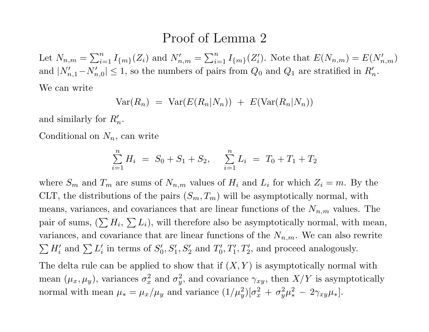#### Proof of Lemma 2

Let  $N_{n,m} = \sum_{i=1}^n I_{\{m\}}(Z_i)$  and  $N'_{n,m} = \sum_{i=1}^n I_{\{m\}}(Z'_i)$ . Note that  $E(N_{n,m}) = E(N'_{n,m})$ and  $|N'_{n,1}-N'_{n,0}| \leq 1$ , so the numbers of pairs from  $Q_0$  and  $Q_1$  are stratified in  $R'_n$ . We can write

$$
Var(R_n) = Var(E(R_n|N_n)) + E(Var(R_n|N_n))
$$

and similarly for  $R_n'$ .

Conditional on  $N_n$ , can write

$$
\sum_{i=1}^{n} H_i = S_0 + S_1 + S_2, \quad \sum_{i=1}^{n} L_i = T_0 + T_1 + T_2
$$

where  $S_m$  and  $T_m$  are sums of  $N_{n,m}$  values of  $H_i$  and  $L_i$  for which  $Z_i = m$ . By the CLT, the distributions of the pairs  $(S_m, T_m)$  will be asymptotically normal, with means, variances, and covariances that are linear functions of the  $N_{n,m}$  values. The pair of sums,  $(\sum H_i, \sum L_i)$ , will therefore also be asymptotically normal, with mean, variances, and covariance that are linear functions of the  $N_{n,m}$ . We can also rewrite  $\sum H'_i$  and  $\sum L'_i$  in terms of  $S'_0, S'_1, S'_2$  and  $T'_0, T'_1, T'_2$ , and proceed analogously.

The delta rule can be applied to show that if  $(X, Y)$  is asymptotically normal with mean  $(\mu_x, \mu_y)$ , variances  $\sigma_x^2$  and  $\sigma_y^2$ , and covariance  $\gamma_{xy}$ , then  $X/Y$  is asymptotically normal with mean  $\mu_* = \mu_x/\mu_y$  and variance  $(1/\mu_y^2)[\sigma_x^2 + \sigma_y^2 \mu_*^2 - 2\gamma_{xy}\mu_*].$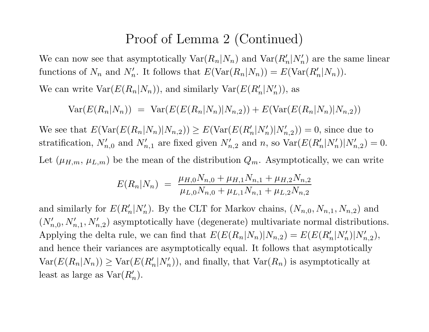#### Proof of Lemma <sup>2</sup> (Continued)

We can now see that asymptotically  $\text{Var}(R_n|N_n)$  and  $\text{Var}(R_n|N_n')$  are the same linear functions of  $N_n$  and  $N'_n$ . It follows that  $E(\text{Var}(R_n|N_n)) = E(\text{Var}(R'_n|N_n)).$ 

We can write  $Var(E(R_n|N_n))$ , and similarly  $Var(E(R'_n|N'_n))$ , as

$$
Var(E(R_n|N_n)) = Var(E(E(R_n|N_n)|N_{n,2})) + E(Var(E(R_n|N_n)|N_{n,2}))
$$

We see that  $E(\text{Var}(E(R_n|N_n)|N_{n,2})) \geq E(\text{Var}(E(R'_n|N'_n)|N'_{n,2})) = 0$ , since due to stratification,  $N'_{n,0}$  and  $N'_{n,1}$  are fixed given  $N'_{n,2}$  and n, so  $Var(E(R'_n|N'_n)|N'_{n,2}) = 0$ . Let  $(\mu_{H,m}, \mu_{L,m})$  be the mean of the distribution  $Q_m$ . Asymptotically, we can write

$$
E(R_n|N_n) = \frac{\mu_{H,0}N_{n,0} + \mu_{H,1}N_{n,1} + \mu_{H,2}N_{n,2}}{\mu_{L,0}N_{n,0} + \mu_{L,1}N_{n,1} + \mu_{L,2}N_{n,2}}
$$

and similarly for  $E(R_n'|N_n')$ . By the CLT for Markov chains,  $(N_{n,0}, N_{n,1}, N_{n,2})$  and  $(N'_{n,0}, N'_{n,1}, N'_{n,2})$  asymptotically have (degenerate) multivariate normal distributions. Applying the delta rule, we can find that  $E(E(R_n|N_n)|N_{n,2}) = E(E(R'_n|N'_n)|N'_{n,2}),$ and hence their variances are asymptotically equal. It follows that asymptotically  $Var(E(R_n|N_n)) \ge Var(E(R'_n|N'_n))$ , and finally, that  $Var(R_n)$  is asymptotically at least as large as  $Var(R_n)$ .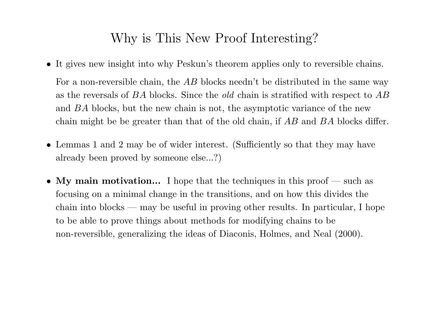## Why is This New Proof Interesting?

- It gives new insight into why Peskun's theorem applies only to reversible chains. For a non-reversible chain, the AB blocks needn't be distributed in the same way as the reversals of BA blocks. Since the old chain is stratified with respect to AB and BA blocks, but the new chain is not, the asymptotic variance of the new chain might be be greater than that of the old chain, if AB and BA blocks differ.
- Lemmas <sup>1</sup> and <sup>2</sup> may be of wider interest. (Sufficiently so that they may have already been proved by someone else...?)
- My main motivation... I hope that the techniques in this proof such as focusing on <sup>a</sup> minimal change in the transitions, and on how this divides the chain into blocks — may be useful in proving other results. In particular, I hope to be able to prove things about methods for modifying chains to be non-reversible, generalizing the ideas of Diaconis, Holmes, and Neal (2000).